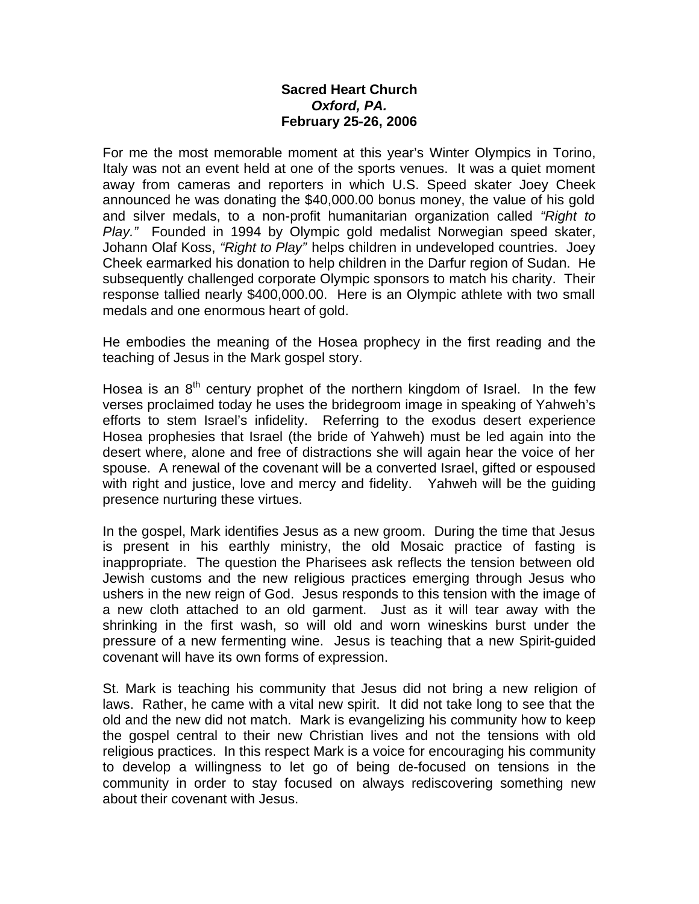## **Sacred Heart Church** *Oxford, PA.* **February 25-26, 2006**

For me the most memorable moment at this year's Winter Olympics in Torino, Italy was not an event held at one of the sports venues. It was a quiet moment away from cameras and reporters in which U.S. Speed skater Joey Cheek announced he was donating the \$40,000.00 bonus money, the value of his gold and silver medals, to a non-profit humanitarian organization called *"Right to Play."* Founded in 1994 by Olympic gold medalist Norwegian speed skater, Johann Olaf Koss, *"Right to Play"* helps children in undeveloped countries. Joey Cheek earmarked his donation to help children in the Darfur region of Sudan. He subsequently challenged corporate Olympic sponsors to match his charity. Their response tallied nearly \$400,000.00. Here is an Olympic athlete with two small medals and one enormous heart of gold.

He embodies the meaning of the Hosea prophecy in the first reading and the teaching of Jesus in the Mark gospel story.

Hosea is an  $8<sup>th</sup>$  century prophet of the northern kingdom of Israel. In the few verses proclaimed today he uses the bridegroom image in speaking of Yahweh's efforts to stem Israel's infidelity. Referring to the exodus desert experience Hosea prophesies that Israel (the bride of Yahweh) must be led again into the desert where, alone and free of distractions she will again hear the voice of her spouse. A renewal of the covenant will be a converted Israel, gifted or espoused with right and justice, love and mercy and fidelity. Yahweh will be the guiding presence nurturing these virtues.

In the gospel, Mark identifies Jesus as a new groom. During the time that Jesus is present in his earthly ministry, the old Mosaic practice of fasting is inappropriate. The question the Pharisees ask reflects the tension between old Jewish customs and the new religious practices emerging through Jesus who ushers in the new reign of God. Jesus responds to this tension with the image of a new cloth attached to an old garment. Just as it will tear away with the shrinking in the first wash, so will old and worn wineskins burst under the pressure of a new fermenting wine. Jesus is teaching that a new Spirit-guided covenant will have its own forms of expression.

St. Mark is teaching his community that Jesus did not bring a new religion of laws. Rather, he came with a vital new spirit. It did not take long to see that the old and the new did not match. Mark is evangelizing his community how to keep the gospel central to their new Christian lives and not the tensions with old religious practices. In this respect Mark is a voice for encouraging his community to develop a willingness to let go of being de-focused on tensions in the community in order to stay focused on always rediscovering something new about their covenant with Jesus.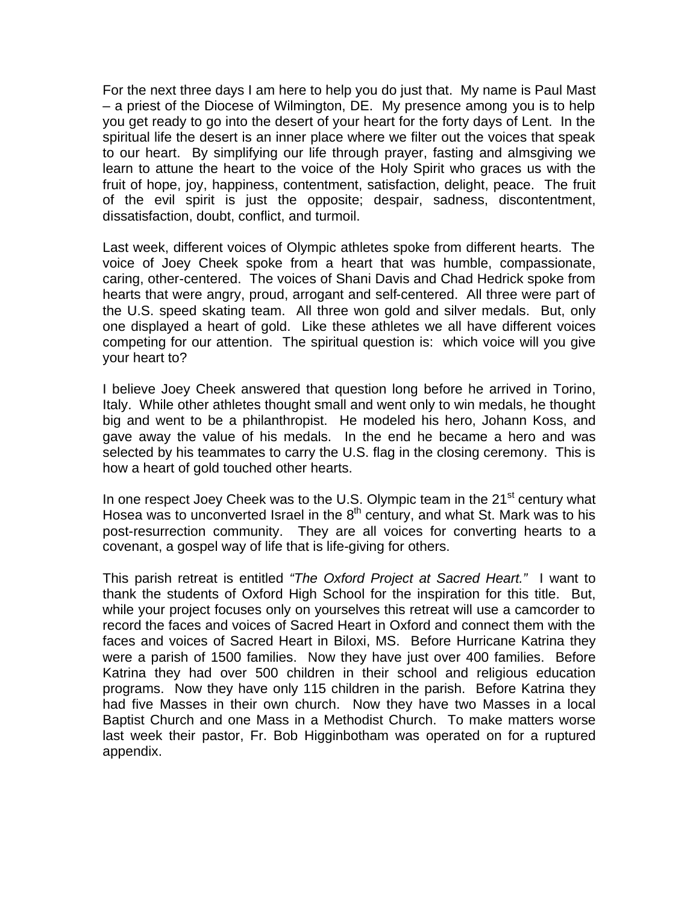For the next three days I am here to help you do just that. My name is Paul Mast – a priest of the Diocese of Wilmington, DE. My presence among you is to help you get ready to go into the desert of your heart for the forty days of Lent. In the spiritual life the desert is an inner place where we filter out the voices that speak to our heart. By simplifying our life through prayer, fasting and almsgiving we learn to attune the heart to the voice of the Holy Spirit who graces us with the fruit of hope, joy, happiness, contentment, satisfaction, delight, peace. The fruit of the evil spirit is just the opposite; despair, sadness, discontentment, dissatisfaction, doubt, conflict, and turmoil.

Last week, different voices of Olympic athletes spoke from different hearts. The voice of Joey Cheek spoke from a heart that was humble, compassionate, caring, other-centered. The voices of Shani Davis and Chad Hedrick spoke from hearts that were angry, proud, arrogant and self-centered. All three were part of the U.S. speed skating team. All three won gold and silver medals. But, only one displayed a heart of gold. Like these athletes we all have different voices competing for our attention. The spiritual question is: which voice will you give your heart to?

I believe Joey Cheek answered that question long before he arrived in Torino, Italy. While other athletes thought small and went only to win medals, he thought big and went to be a philanthropist. He modeled his hero, Johann Koss, and gave away the value of his medals. In the end he became a hero and was selected by his teammates to carry the U.S. flag in the closing ceremony. This is how a heart of gold touched other hearts.

In one respect Joey Cheek was to the U.S. Olympic team in the  $21<sup>st</sup>$  century what Hosea was to unconverted Israel in the  $8<sup>th</sup>$  century, and what St. Mark was to his post-resurrection community. They are all voices for converting hearts to a covenant, a gospel way of life that is life-giving for others.

This parish retreat is entitled *"The Oxford Project at Sacred Heart."* I want to thank the students of Oxford High School for the inspiration for this title. But, while your project focuses only on yourselves this retreat will use a camcorder to record the faces and voices of Sacred Heart in Oxford and connect them with the faces and voices of Sacred Heart in Biloxi, MS. Before Hurricane Katrina they were a parish of 1500 families. Now they have just over 400 families. Before Katrina they had over 500 children in their school and religious education programs. Now they have only 115 children in the parish. Before Katrina they had five Masses in their own church. Now they have two Masses in a local Baptist Church and one Mass in a Methodist Church. To make matters worse last week their pastor, Fr. Bob Higginbotham was operated on for a ruptured appendix.